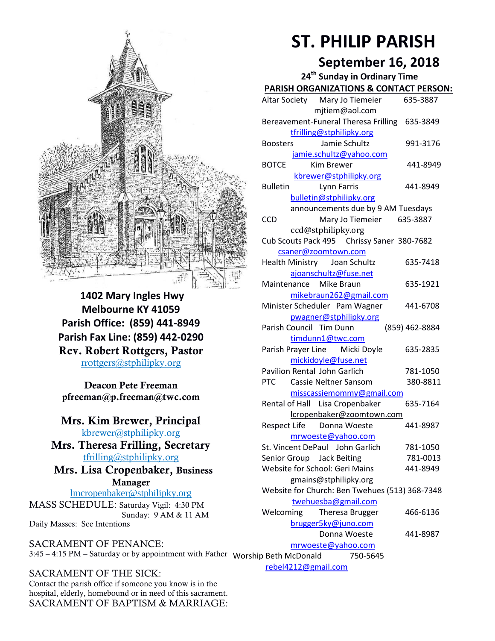

**1402 Mary Ingles Hwy Melbourne KY 41059 Parish Office: (859) 441-8949 Parish Fax Line: (859) 442-0290 Rev. Robert Rottgers, Pastor**  [rrottgers@stphilipky.org](mailto:rrottgers@stphilipky.org)

**Deacon Pete Freeman pfreeman@p.freeman@twc.com**

#### **Mrs. Kim Brewer, Principal**  [kbrewer@stphilipky.org](mailto:kbrewer@stphilipky.org)

**Mrs. Theresa Frilling, Secretary**  [tfrilling@stphilipky.org](mailto:tfrilling@stphilipky.org)

 **Mrs. Lisa Cropenbaker, Business Manager** 

lmcropenbaker@stphilipky.org MASS SCHEDULE: Saturday Vigil: 4:30 PM Sunday: 9 AM & 11 AM Daily Masses: See Intentions

SACRAMENT OF PENANCE: 3:45 – 4:15 PM – Saturday or by appointment with Father Worship Beth McDonald 750-5645

SACRAMENT OF THE SICK: Contact the parish office if someone you know is in the hospital, elderly, homebound or in need of this sacrament. SACRAMENT OF BAPTISM & MARRIAGE:

# **ST. PHILIP PARISH**

## **September 16, 2018**

| 24 <sup>th</sup> Sunday in Ordinary Time          |                |
|---------------------------------------------------|----------------|
| PARISH ORGANIZATIONS & CONTACT PERSON:            |                |
| Altar Society Mary Jo Tiemeier                    | 635-3887       |
| mjtiem@aol.com                                    |                |
| Bereavement-Funeral Theresa Frilling 635-3849     |                |
| tfrilling@stphilipky.org                          |                |
| Jamie Schultz<br><b>Boosters</b>                  | 991-3176       |
| jamie.schultz@yahoo.com                           |                |
| <b>BOTCE</b><br><b>Kim Brewer</b>                 | 441-8949       |
| kbrewer@stphilipky.org                            |                |
| <b>Bulletin</b><br>Lynn Farris                    | 441-8949       |
| bulletin@stphilipky.org                           |                |
| announcements due by 9 AM Tuesdays                |                |
| <b>CCD</b><br>Mary Jo Tiemeier                    | 635-3887       |
| ccd@stphilipky.org                                |                |
| Cub Scouts Pack 495 Chrissy Saner 380-7682        |                |
| csaner@zoomtown.com                               |                |
| Health Ministry Joan Schultz                      | 635-7418       |
| ajoanschultz@fuse.net                             |                |
| Maintenance Mike Braun                            | 635-1921       |
| mikebraun262@gmail.com                            | 441-6708       |
| Minister Scheduler Pam Wagner                     |                |
| pwagner@stphilipky.org<br>Parish Council Tim Dunn | (859) 462-8884 |
| timdunn1@twc.com                                  |                |
| Parish Prayer Line Micki Doyle                    | 635-2835       |
| mickidoyle@fuse.net                               |                |
| <b>Pavilion Rental John Garlich</b>               | 781-1050       |
| <b>PTC</b><br>Cassie Neltner Sansom               | 380-8811       |
| misscassiemommy@gmail.com                         |                |
| Rental of Hall Lisa Cropenbaker                   | 635-7164       |
| lcropenbaker@zoomtown.com                         |                |
| Respect Life Donna Woeste                         | 441-8987       |
| mrwoeste@yahoo.com                                |                |
| St. Vincent DePaul John Garlich                   | 781-1050       |
| Senior Group Jack Beiting                         | 781-0013       |
| <b>Website for School: Geri Mains</b>             | 441-8949       |
| gmains@stphilipky.org                             |                |
| Website for Church: Ben Twehues (513) 368-7348    |                |
| twehuesba@gmail.com                               |                |
| Welcoming<br>Theresa Brugger                      | 466-6136       |
| brugger5ky@juno.com                               |                |
| Donna Woeste                                      | 441-8987       |
| mrwoeste@yahoo.com                                |                |
| ip Beth McDonald<br>750-5645                      |                |

[rebel4212@gmail.com](mailto:trebel4212@gmail.com)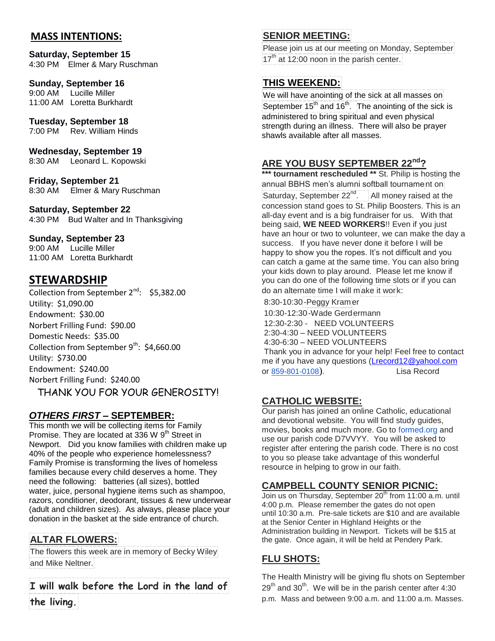#### **MASS INTENTIONS:**

## **Saturday, September 15**

4:30 PM Elmer & Mary Ruschman

#### **Sunday, September 16**

9:00 AM Lucille Miller 11:00 AM Loretta Burkhardt

#### **Tuesday, September 18**

7:00 PM Rev. William Hinds

#### **Wednesday, September 19**

8:30 AM Leonard L. Kopowski

**Friday, September 21** 8:30 AM Elmer & Mary Ruschman

#### **Saturday, September 22**

4:30 PM Bud Walter and In Thanksgiving

#### **Sunday, September 23**

9:00 AM Lucille Miller 11:00 AM Loretta Burkhardt

## **STEWARDSHIP**

Collection from September 2<sup>nd</sup>: \$5,382.00 Utility: \$1,090.00 Endowment: \$30.00 Norbert Frilling Fund: \$90.00 Domestic Needs: \$35.00 Collection from September  $9^{th}$ : \$4,660.00 Utility: \$730.00 Endowment: \$240.00 Norbert Frilling Fund: \$240.00

THANK YOU FOR YOUR GENEROSITY!

#### *OTHERS FIRST* **– SEPTEMBER:**

This month we will be collecting items for Family Promise. They are located at 336 W  $9<sup>th</sup>$  Street in Newport. Did you know families with children make up 40% of the people who experience homelessness? Family Promise is transforming the lives of homeless families because every child deserves a home. They need the following: batteries (all sizes), bottled water, juice, personal hygiene items such as shampoo, razors, conditioner, deodorant, tissues & new underwear (adult and children sizes). As always, please place your donation in the basket at the side entrance of church.

#### **ALTAR FLOWERS:**

The flowers this week are in memory of Becky Wiley and Mike Neltner.

**I will walk before the Lord in the land of the living.**

#### **SENIOR MEETING:**

Please join us at our meeting on Monday, September  $17<sup>th</sup>$  at 12:00 noon in the parish center.

#### **THIS WEEKEND:**

We will have anointing of the sick at all masses on September 15<sup>th</sup> and 16<sup>th</sup>. The anointing of the sick is administered to bring spiritual and even physical strength during an illness. There will also be prayer shawls available after all masses.

#### **ARE YOU BUSY SEPTEMBER 22nd?**

\*\*\* **tournament rescheduled** \*\* St. Philip is hosting the annual BBHS men's alumni softball tournament on Saturday, September  $22^{nd}$ . All money raised at the concession stand goes to St. Philip Boosters. This is an all-day event and is a big fundraiser for us. With that being said, **WE NEED WORKERS**!! Even if you just have an hour or two to volunteer, we can make the day a success. If you have never done it before I will be happy to show you the ropes. It's not difficult and you can catch a game at the same time. You can also bring your kids down to play around. Please let me know if you can do one of the following time slots or if you can do an alternate time I will make it work:

8:30-10:30-Peggy Kram er

10:30-12:30-Wade Gerdermann 12:30-2:30 - NEED VOLUNTEERS 2:30-4:30 – NEED VOLUNTEERS 4:30-6:30 – NEED VOLUNTEERS Thank you in advance for your help! Feel free to contact me if you have any questions [\(Lrecord12@yahool.com](mailto:Lrecord12@yahool.com) or [859-801-0108](tel:859-801-0108)). Lisa Record

#### **CATHOLIC WEBSITE:**

Our parish has joined an online Catholic, educational and devotional website. You will find study guides, movies, books and much more. Go to [formed.org](http://formed.org/) and use our parish code D7VVYY. You will be asked to register after entering the parish code. There is no cost to you so please take advantage of this wonderful resource in helping to grow in our faith.

#### **CAMPBELL COUNTY SENIOR PICNIC:**

Join us on Thursday, September 20<sup>th</sup> from 11:00 a.m. until 4:00 p.m. Please remember the gates do not open until 10:30 a.m. Pre-sale tickets are \$10 and are available at the Senior Center in Highland Heights or the Administration building in Newport. Tickets will be \$15 at the gate. Once again, it will be held at Pendery Park.

#### **FLU SHOTS:**

The Health Ministry will be giving flu shots on September  $29<sup>th</sup>$  and  $30<sup>th</sup>$ . We will be in the parish center after 4:30 p.m. Mass and between 9:00 a.m. and 11:00 a.m. Masses.